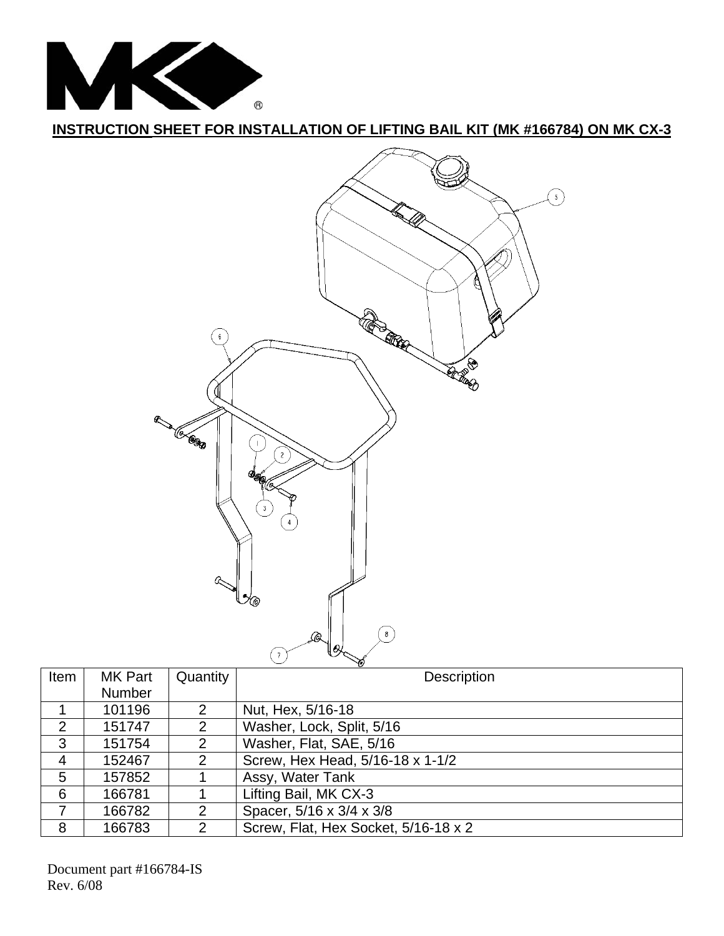

**INSTRUCTION SHEET FOR INSTALLATION OF LIFTING BAIL KIT (MK #166784) ON MK CX-3**



| ັ    |                |               |                                      |
|------|----------------|---------------|--------------------------------------|
| Item | <b>MK Part</b> | Quantity      | <b>Description</b>                   |
|      | <b>Number</b>  |               |                                      |
|      | 101196         | 2             | Nut, Hex, 5/16-18                    |
| 2    | 151747         | $\mathcal{P}$ | Washer, Lock, Split, 5/16            |
| 3    | 151754         | 2             | Washer, Flat, SAE, 5/16              |
| 4    | 152467         | 2             | Screw, Hex Head, 5/16-18 x 1-1/2     |
| 5    | 157852         |               | Assy, Water Tank                     |
| 6    | 166781         |               | Lifting Bail, MK CX-3                |
|      | 166782         | 2             | Spacer, 5/16 x 3/4 x 3/8             |
| 8    | 166783         | $\mathcal{P}$ | Screw, Flat, Hex Socket, 5/16-18 x 2 |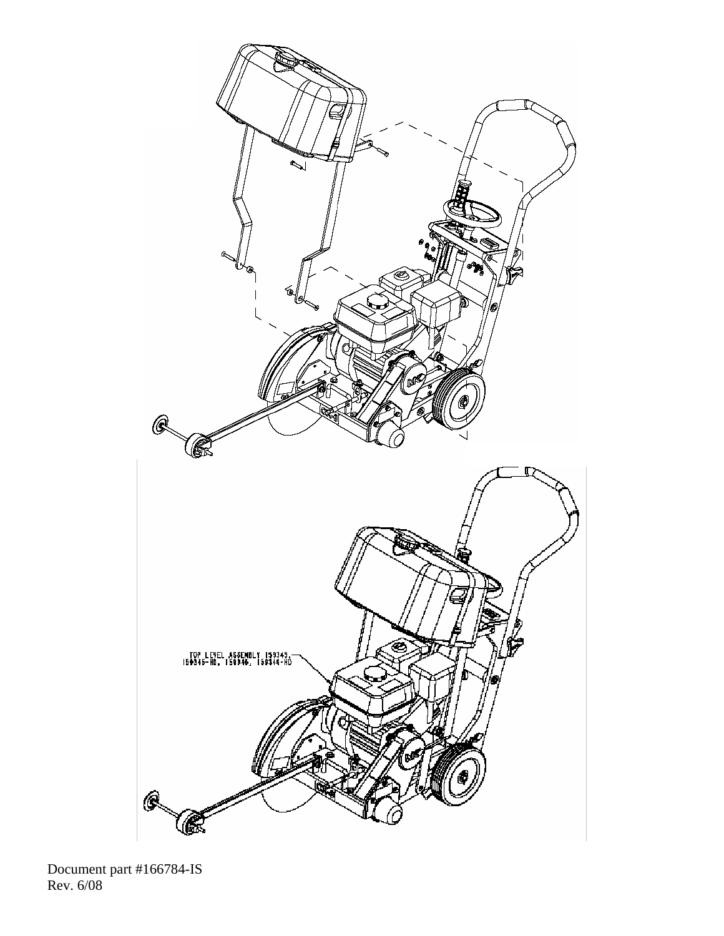

Document part #166784-IS Rev. 6/08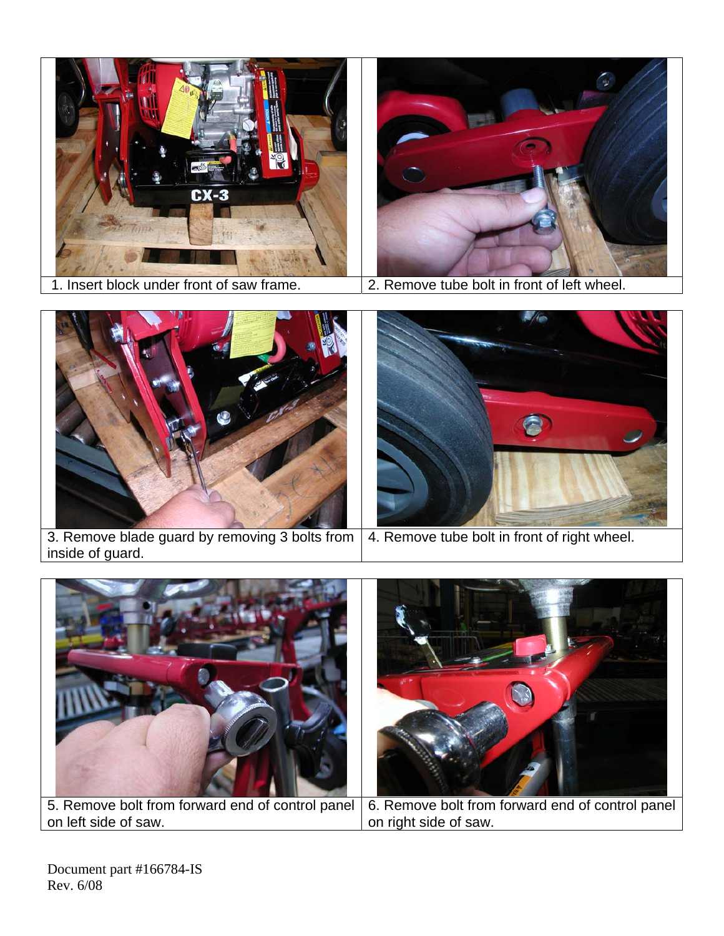![](_page_2_Picture_0.jpeg)

![](_page_2_Picture_2.jpeg)

1. Insert block under front of saw frame. 2. Remove tube bolt in front of left wheel.

![](_page_2_Picture_4.jpeg)

3. Remove blade guard by removing 3 bolts from inside of guard. 4. Remove tube bolt in front of right wheel.

![](_page_2_Picture_6.jpeg)

on left side of saw. on right side of saw.

Document part #166784-IS Rev. 6/08